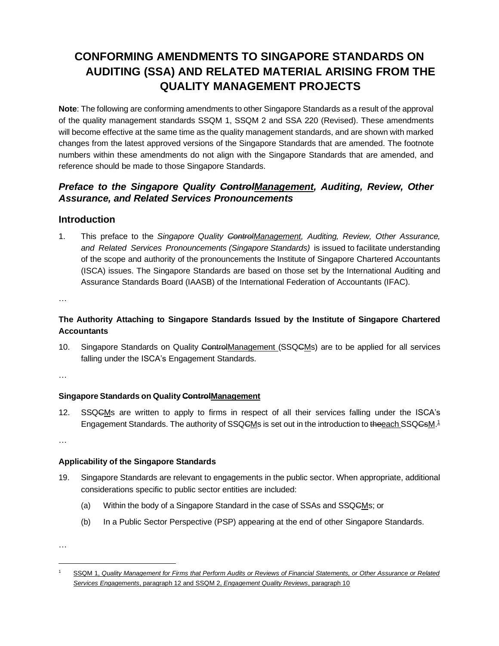# **CONFORMING AMENDMENTS TO SINGAPORE STANDARDS ON AUDITING (SSA) AND RELATED MATERIAL ARISING FROM THE QUALITY MANAGEMENT PROJECTS**

**Note**: The following are conforming amendments to other Singapore Standards as a result of the approval of the quality management standards SSQM 1, SSQM 2 and SSA 220 (Revised). These amendments will become effective at the same time as the quality management standards, and are shown with marked changes from the latest approved versions of the Singapore Standards that are amended. The footnote numbers within these amendments do not align with the Singapore Standards that are amended, and reference should be made to those Singapore Standards.

## *Preface to the Singapore Quality ControlManagement, Auditing, Review, Other Assurance, and Related Services Pronouncements*

### **Introduction**

1. This preface to the *Singapore Quality ControlManagement, Auditing, Review, Other Assurance, and Related Services Pronouncements (Singapore Standards)* is issued to facilitate understanding of the scope and authority of the pronouncements the Institute of Singapore Chartered Accountants (ISCA) issues. The Singapore Standards are based on those set by the International Auditing and Assurance Standards Board (IAASB) of the International Federation of Accountants (IFAC).

…

## **The Authority Attaching to Singapore Standards Issued by the Institute of Singapore Chartered Accountants**

10. Singapore Standards on Quality ControlManagement (SSQCMs) are to be applied for all services falling under the ISCA's Engagement Standards.

…

#### **Singapore Standards on Quality ControlManagement**

12. SSQGMs are written to apply to firms in respect of all their services falling under the ISCA's Engagement Standards. The authority of SSQ<del>C</del>Ms is set out in the introduction to theeach SSQ<del>Cs</del>M.<sup>1</sup>

…

#### **Applicability of the Singapore Standards**

- 19. Singapore Standards are relevant to engagements in the public sector. When appropriate, additional considerations specific to public sector entities are included:
	- (a) Within the body of a Singapore Standard in the case of SSAs and SSQCMs; or
	- (b) In a Public Sector Perspective (PSP) appearing at the end of other Singapore Standards.

<sup>1</sup> SSQM 1, *Quality Management for Firms that Perform Audits or Reviews of Financial Statements, or Other Assurance or Related Services Engagements*, paragraph 12 and SSQM 2, *Engagement Quality Reviews*, paragraph 10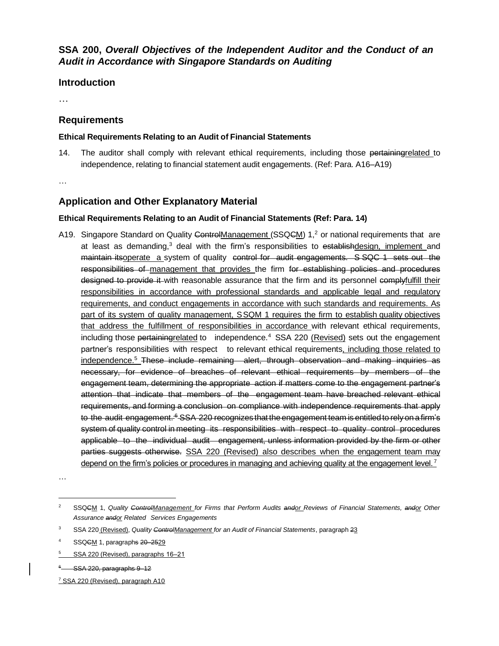## **SSA 200,** *Overall Objectives of the Independent Auditor and the Conduct of an Audit in Accordance with Singapore Standards on Auditing*

### **Introduction**

…

### **Requirements**

#### **Ethical Requirements Relating to an Audit of Financial Statements**

14. The auditor shall comply with relevant ethical requirements, including those pertainingrelated to independence, relating to financial statement audit engagements. (Ref: Para. A16–A19)

…

## **Application and Other Explanatory Material**

#### **Ethical Requirements Relating to an Audit of Financial Statements (Ref: Para. 14)**

A19. Singapore Standard on Quality ControlManagement (SSQCM) 1,<sup>2</sup> or national requirements that are at least as demanding,<sup>3</sup> deal with the firm's responsibilities to establishdesign, implement and maintain itsoperate a system of quality control for audit engagements. S SQC 1 sets out the responsibilities of management that provides the firm for establishing policies and procedures designed to provide it with reasonable assurance that the firm and its personnel complyfulfill their responsibilities in accordance with professional standards and applicable legal and regulatory requirements, and conduct engagements in accordance with such standards and requirements. As part of its system of quality management, SSQM 1 requires the firm to establish quality objectives that address the fulfillment of responsibilities in accordance with relevant ethical requirements, including those pertainingrelated to independence.<sup>4</sup> SSA 220 (Revised) sets out the engagement partner's responsibilities with respect to relevant ethical requirements, including those related to independence.<sup>5</sup> These include remaining alert, through observation and making inquiries as necessary, for evidence of breaches of relevant ethical requirements by members of the engagement team, determining the appropriate action if matters come to the engagement partner's attention that indicate that members of the engagement team have breached relevant ethical requirements, and forming a conclusion on compliance with independence requirements that apply to the audit engagement.<sup>5</sup> SSA 220 recognizes that the engagement team is entitled to rely on a firm's system of quality control in meeting its responsibilities with respect to quality control procedures applicable to the individual audit engagement, unless information provided by the firm or other parties suggests otherwise. SSA 220 (Revised) also describes when the engagement team may depend on the firm's policies or procedures in managing and achieving quality at the engagement level.<sup>7</sup>

…

<sup>6</sup> SSA 220, paragraphs 9–12

<sup>2</sup> SSQCM 1, *Quality ControlManagement for Firms that Perform Audits andor Reviews of Financial Statements, andor Other Assurance andor Related Services Engagements*

<sup>3</sup> SSA 220 (Revised), *Quality ControlManagement for an Audit of Financial Statements*, paragraph 23

SSQCM 1, paragraphs 20–2529

SSA 220 (Revised), paragraphs 16-21

<sup>7</sup> SSA 220 (Revised), paragraph A10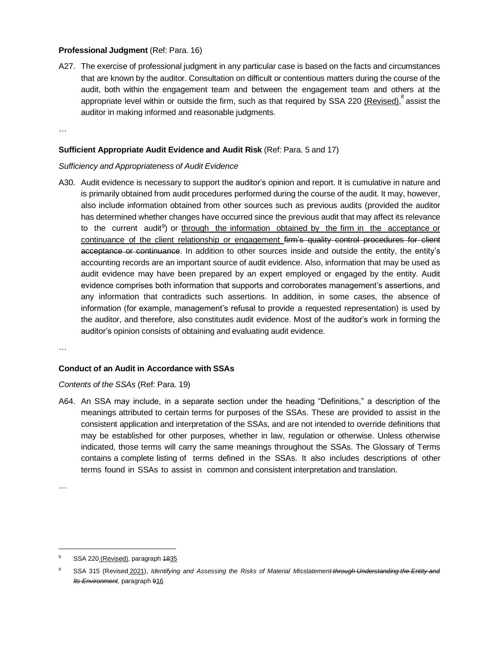#### **Professional Judgment** (Ref: Para. 16)

A27. The exercise of professional judgment in any particular case is based on the facts and circumstances that are known by the auditor. Consultation on difficult or contentious matters during the course of the audit, both within the engagement team and between the engagement team and others at the appropriate level within or outside the firm, such as that required by SSA 220 <u>(Revised)</u>, <sup>8</sup> assist the auditor in making informed and reasonable judgments.

…

#### **Sufficient Appropriate Audit Evidence and Audit Risk** (Ref: Para. 5 and 17)

#### *Sufficiency and Appropriateness of Audit Evidence*

A30. Audit evidence is necessary to support the auditor's opinion and report. It is cumulative in nature and is primarily obtained from audit procedures performed during the course of the audit. It may, however, also include information obtained from other sources such as previous audits (provided the auditor has determined whether changes have occurred since the previous audit that may affect its relevance to the current audit<sup>9</sup>) or through the information obtained by the firm in the acceptance or continuance of the client relationship or engagement firm's quality control procedures for client acceptance or continuance. In addition to other sources inside and outside the entity, the entity's accounting records are an important source of audit evidence. Also, information that may be used as audit evidence may have been prepared by an expert employed or engaged by the entity. Audit evidence comprises both information that supports and corroborates management's assertions, and any information that contradicts such assertions. In addition, in some cases, the absence of information (for example, management's refusal to provide a requested representation) is used by the auditor, and therefore, also constitutes audit evidence. Most of the auditor's work in forming the auditor's opinion consists of obtaining and evaluating audit evidence.

…

#### **Conduct of an Audit in Accordance with SSAs**

*Contents of the SSAs* (Ref: Para. 19)

A64. An SSA may include, in a separate section under the heading "Definitions," a description of the meanings attributed to certain terms for purposes of the SSAs. These are provided to assist in the consistent application and interpretation of the SSAs, and are not intended to override definitions that may be established for other purposes, whether in law, regulation or otherwise. Unless otherwise indicated, those terms will carry the same meanings throughout the SSAs. The Glossary of Terms contains a complete listing of terms defined in the SSAs. It also includes descriptions of other terms found in SSAs to assist in common and consistent interpretation and translation.

SSA 220 (Revised), paragraph 1835

<sup>9</sup> SSA 315 (Revised 2021), *Identifying and Assessing the Risks of Material Misstatement through Understanding the Entity and Its Environment*, paragraph 916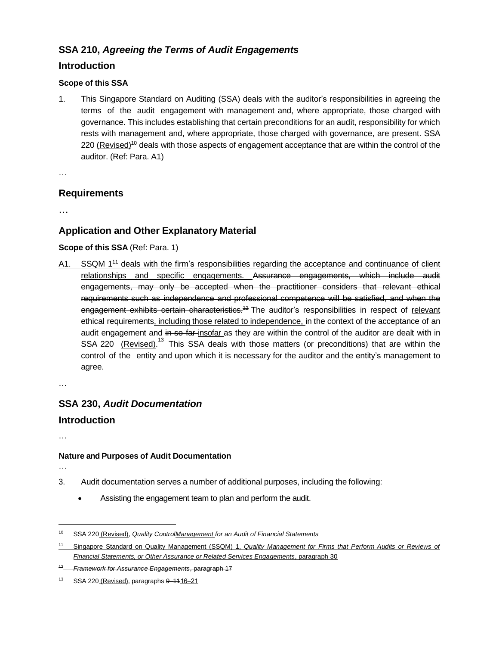## **SSA 210,** *Agreeing the Terms of Audit Engagements*

## **Introduction**

### **Scope of this SSA**

1. This Singapore Standard on Auditing (SSA) deals with the auditor's responsibilities in agreeing the terms of the audit engagement with management and, where appropriate, those charged with governance. This includes establishing that certain preconditions for an audit, responsibility for which rests with management and, where appropriate, those charged with governance, are present. SSA 220 (Revised)<sup>10</sup> deals with those aspects of engagement acceptance that are within the control of the auditor. (Ref: Para. A1)

…

## **Requirements**

…

## **Application and Other Explanatory Material**

#### **Scope of this SSA** (Ref: Para. 1)

A1. SSQM 1<sup>11</sup> deals with the firm's responsibilities regarding the acceptance and continuance of client relationships and specific engagements. Assurance engagements, which include audit engagements, may only be accepted when the practitioner considers that relevant ethical requirements such as independence and professional competence will be satisfied, and when the engagement exhibits certain characteristics.<sup>42</sup> The auditor's responsibilities in respect of relevant ethical requirements, including those related to independence, in the context of the acceptance of an audit engagement and in so far-insofar as they are within the control of the auditor are dealt with in SSA 220 (*Revised*).<sup>13</sup> This SSA deals with those matters (or preconditions) that are within the control of the entity and upon which it is necessary for the auditor and the entity's management to agree.

…

# **SSA 230,** *Audit Documentation*

## **Introduction**

…

## **Nature and Purposes of Audit Documentation**

- 3. Audit documentation serves a number of additional purposes, including the following:
	- Assisting the engagement team to plan and perform the audit.

<sup>10</sup> SSA 220 (Revised), *Quality ControlManagement for an Audit of Financial Statements*

<sup>11</sup> Singapore Standard on Quality Management (SSQM) 1, *Quality Management for Firms that Perform Audits or Reviews of Financial Statements, or Other Assurance or Related Services Engagements*, paragraph 30

<sup>12</sup> *Framework for Assurance Engagements*, paragraph 17

<sup>13</sup> SSA 220 (Revised), paragraphs  $9 - 1116 - 21$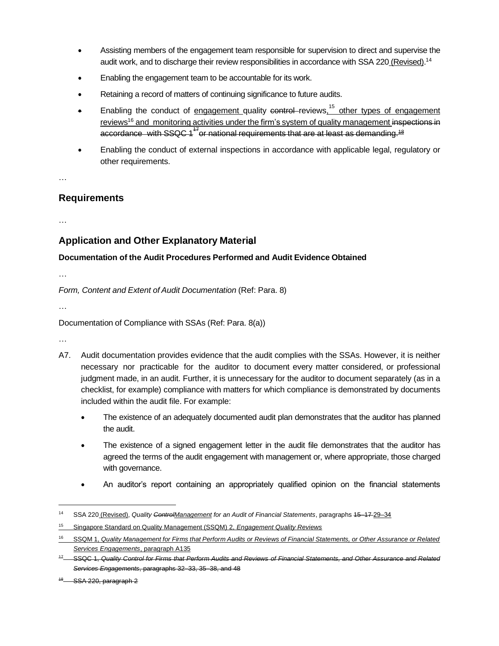- Assisting members of the engagement team responsible for supervision to direct and supervise the audit work, and to discharge their review responsibilities in accordance with SSA 220 (Revised).<sup>14</sup>
- Enabling the engagement team to be accountable for its work.
- Retaining a record of matters of continuing significance to future audits.
- Enabling the conduct of engagement quality control-reviews, <sup>15</sup> other types of engagement reviews<sup>16</sup> and monitoring activities under the firm's system of quality management inspections in accordance with SSQC 1<sup>+7</sup> or national requirements that are at least as demanding.<sup>18</sup>
- Enabling the conduct of external inspections in accordance with applicable legal, regulatory or other requirements.

…

### **Requirements**

…

## **Application and Other Explanatory Material** 8

#### **Documentation of the Audit Procedures Performed and Audit Evidence Obtained**

…

*Form, Content and Extent of Audit Documentation* (Ref: Para. 8)

…

Documentation of Compliance with SSAs (Ref: Para. 8(a))

- A7. Audit documentation provides evidence that the audit complies with the SSAs. However, it is neither necessary nor practicable for the auditor to document every matter considered, or professional judgment made, in an audit. Further, it is unnecessary for the auditor to document separately (as in a checklist, for example) compliance with matters for which compliance is demonstrated by documents included within the audit file. For example:
	- The existence of an adequately documented audit plan demonstrates that the auditor has planned the audit.
	- The existence of a signed engagement letter in the audit file demonstrates that the auditor has agreed the terms of the audit engagement with management or, where appropriate, those charged with governance.
	- An auditor's report containing an appropriately qualified opinion on the financial statements

<sup>14</sup> SSA 220 (Revised), *Quality ControlManagement for an Audit of Financial Statements*, paragraphs 15–17 29‒34

<sup>15</sup> Singapore Standard on Quality Management (SSQM) 2, *Engagement Quality Reviews*

<sup>16</sup> SSQM 1, *Quality Management for Firms that Perform Audits or Reviews of Financial Statements, or Other Assurance or Related Services Engagements*, paragraph A135

SSQC 1, Quality Control for Firms that Perform Audits and Reviews of Financial Statements, and Other Assurance and Related *Services Engagements*, paragraphs 32–33, 35–38, and 48

 $48$  SSA 220, paragraph 2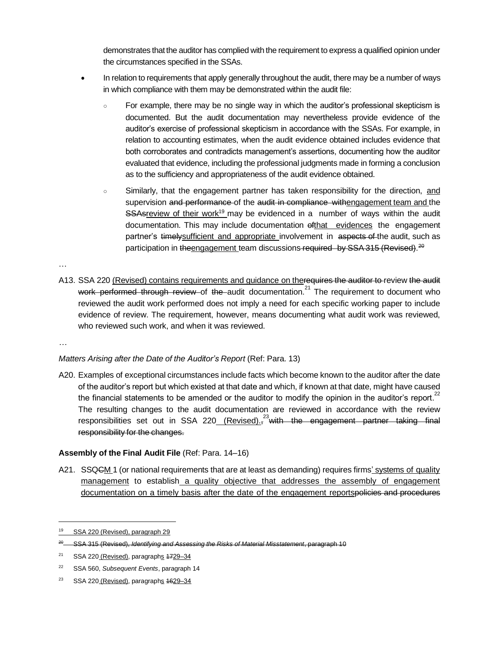demonstrates that the auditor has complied with the requirement to express a qualified opinion under the circumstances specified in the SSAs.

- In relation to requirements that apply generally throughout the audit, there may be a number of ways in which compliance with them may be demonstrated within the audit file:
	- For example, there may be no single way in which the auditor's professional skepticism is documented. But the audit documentation may nevertheless provide evidence of the auditor's exercise of professional skepticism in accordance with the SSAs. For example, in relation to accounting estimates, when the audit evidence obtained includes evidence that both corroborates and contradicts management's assertions, documenting how the auditor evaluated that evidence, including the professional judgments made in forming a conclusion as to the sufficiency and appropriateness of the audit evidence obtained.
	- Similarly, that the engagement partner has taken responsibility for the direction, and supervision and performance of the audit in compliance withengagement team and the SSAsreview of their work<sup>19</sup> may be evidenced in a number of ways within the audit documentation. This may include documentation ofthat evidences the engagement partner's timely sufficient and appropriate involvement in aspects of the audit, such as participation in theengagement team discussions required by SSA 315 (Revised).<sup>20</sup>

…

A13. SSA 220 (Revised) contains requirements and guidance on therequires the auditor to review the audit work performed through review of the audit documentation.<sup>21</sup> The requirement to document who reviewed the audit work performed does not imply a need for each specific working paper to include evidence of review. The requirement, however, means documenting what audit work was reviewed, who reviewed such work, and when it was reviewed.

*…*

#### *Matters Arising after the Date of the Auditor's Report* (Ref: Para. 13)

A20. Examples of exceptional circumstances include facts which become known to the auditor after the date of the auditor's report but which existed at that date and which, if known at that date, might have caused the financial statements to be amended or the auditor to modify the opinion in the auditor's report.<sup>22</sup> The resulting changes to the audit documentation are reviewed in accordance with the review responsibilities set out in SSA 220<u>\_ (Revised).</u>,<sup>23</sup>with the engagement partner taking final responsibility for the changes.

#### **Assembly of the Final Audit File** (Ref: Para. 14–16)

A21. SSQ<del>C</del>M 1 (or national requirements that are at least as demanding) requires firms' systems of quality management to establish a quality objective that addresses the assembly of engagement documentation on a timely basis after the date of the engagement reportspolicies and procedures

<sup>&</sup>lt;sup>19</sup> SSA 220 (Revised), paragraph 29

<sup>&</sup>lt;sup>20</sup> SSA 315 (Revised), *Identifying and Assessing the Risks of Material Misstatement*, paragraph 10

 $21$  SSA 220 (Revised), paragraphs  $4729-34$ 

<sup>22</sup> SSA 560, *Subsequent Events*, paragraph 14

<sup>&</sup>lt;sup>23</sup> SSA 220 (Revised), paragraphs  $4629-34$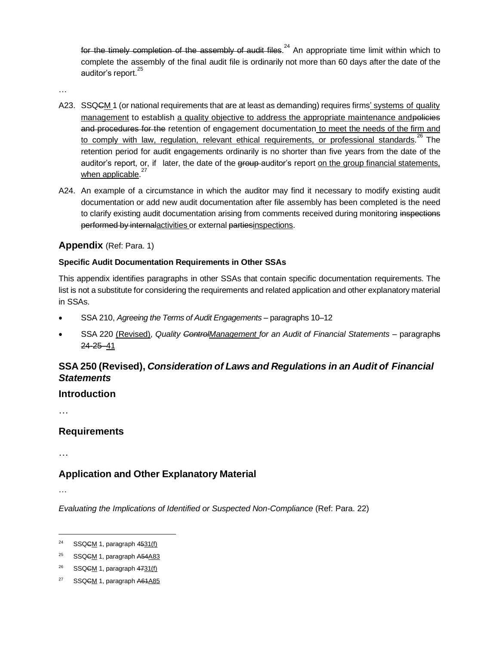for the timely completion of the assembly of audit files.<sup>24</sup> An appropriate time limit within which to complete the assembly of the final audit file is ordinarily not more than 60 days after the date of the auditor's report.<sup>25</sup>

…

- A23. SSQ<del>C</del>M 1 (or national requirements that are at least as demanding) requires firms' systems of quality management to establish a quality objective to address the appropriate maintenance andpolicies and procedures for the retention of engagement documentation to meet the needs of the firm and to comply with law, regulation, relevant ethical requirements, or professional standards.<sup>26</sup> The retention period for audit engagements ordinarily is no shorter than five years from the date of the auditor's report, or, if later, the date of the group auditor's report on the group financial statements, when applicable.<sup>27</sup>
- A24. An example of a circumstance in which the auditor may find it necessary to modify existing audit documentation or add new audit documentation after file assembly has been completed is the need to clarify existing audit documentation arising from comments received during monitoring inspections performed by internalactivities or external partiesinspections.

### **Appendix** (Ref: Para. 1)

#### **Specific Audit Documentation Requirements in Other SSAs**

This appendix identifies paragraphs in other SSAs that contain specific documentation requirements. The list is not a substitute for considering the requirements and related application and other explanatory material in SSAs.

- SSA 210, *Agreeing the Terms of Audit Engagements* paragraphs 10–12
- SSA 220 (Revised), *Quality ControlManagement for an Audit of Financial Statements* paragraphs 24-25–41

## **SSA 250 (Revised),** *Consideration of Laws and Regulations in an Audit of Financial Statements*

#### **Introduction**

…

#### **Requirements**

…

## **Application and Other Explanatory Material**

…

*Evaluating the Implications of Identified or Suspected Non-Compliance* (Ref: Para. 22)

<sup>24</sup> SSQCM 1, paragraph 4531(f)

 $25$  SSQGM 1, paragraph  $A54A83$ 

<sup>26</sup> SSQCM 1, paragraph 4731(f)

SSQCM 1, paragraph A61A85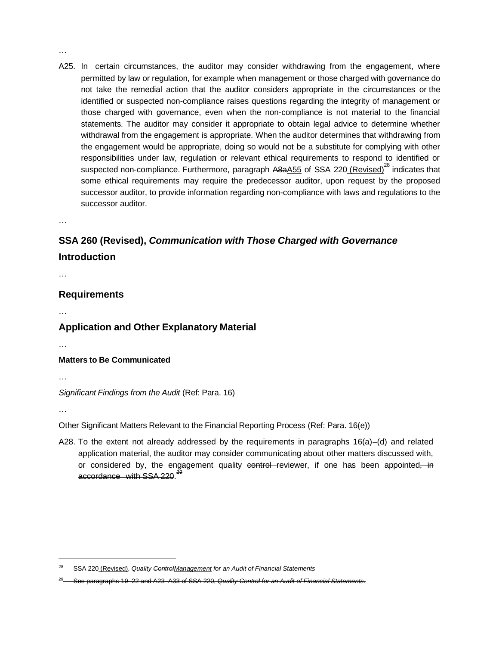A25. In certain circumstances, the auditor may consider withdrawing from the engagement, where permitted by law or regulation, for example when management or those charged with governance do not take the remedial action that the auditor considers appropriate in the circumstances or the identified or suspected non-compliance raises questions regarding the integrity of management or those charged with governance, even when the non-compliance is not material to the financial statements. The auditor may consider it appropriate to obtain legal advice to determine whether withdrawal from the engagement is appropriate. When the auditor determines that withdrawing from the engagement would be appropriate, doing so would not be a substitute for complying with other responsibilities under law, regulation or relevant ethical requirements to respond to identified or suspected non-compliance. Furthermore, paragraph A8aA55 of SSA 220 (Revised)<sup>28</sup> indicates that some ethical requirements may require the predecessor auditor, upon request by the proposed successor auditor, to provide information regarding non-compliance with laws and regulations to the successor auditor.

…

…

# **SSA 260 (Revised),** *Communication with Those Charged with Governance* **Introduction**

…

#### **Requirements**

…

## **Application and Other Explanatory Material**

…

#### **Matters to Be Communicated**

…

*Significant Findings from the Audit* (Ref: Para. 16)

…

Other Significant Matters Relevant to the Financial Reporting Process (Ref: Para. 16(e))

A28. To the extent not already addressed by the requirements in paragraphs 16(a)–(d) and related application material, the auditor may consider communicating about other matters discussed with, or considered by, the engagement quality control reviewer, if one has been appointed, in accordance with SSA 220.<sup>29</sup>

<sup>28</sup> SSA 220 (Revised), *Quality ControlManagement for an Audit of Financial Statements*

<sup>29</sup> See paragraphs 19–22 and A23–A33 of SSA 220, *Quality Control for an Audit of Financial Statements*.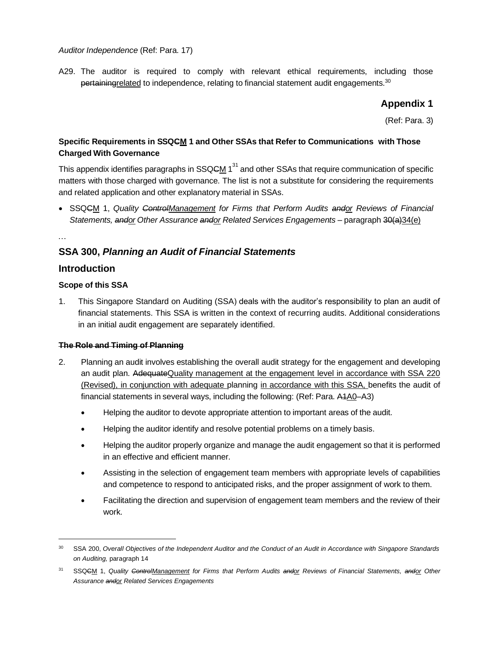*Auditor Independence* (Ref: Para. 17)

A29. The auditor is required to comply with relevant ethical requirements, including those pertainingrelated to independence, relating to financial statement audit engagements.<sup>30</sup>

### **Appendix 1**

(Ref: Para. 3)

### **Specific Requirements in SSQCM 1 and Other SSAs that Refer to Communications with Those Charged With Governance**

This appendix identifies paragraphs in SSQ<del>C</del>M 1<sup>31</sup> and other SSAs that require communication of specific matters with those charged with governance. The list is not a substitute for considering the requirements and related application and other explanatory material in SSAs.

• SSQCM 1, *Quality ControlManagement for Firms that Perform Audits andor Reviews of Financial Statements, andor Other Assurance andor Related Services Engagements* – paragraph 30(a)34(e)

## **SSA 300,** *Planning an Audit of Financial Statements*

#### **Introduction**

…

#### **Scope of this SSA**

1. This Singapore Standard on Auditing (SSA) deals with the auditor's responsibility to plan an audit of financial statements. This SSA is written in the context of recurring audits. Additional considerations in an initial audit engagement are separately identified.

#### **The Role and Timing of Planning**

- 2. Planning an audit involves establishing the overall audit strategy for the engagement and developing an audit plan. AdequateQuality management at the engagement level in accordance with SSA 220 (Revised), in conjunction with adequate planning in accordance with this SSA, benefits the audit of financial statements in several ways, including the following: (Ref: Para. A1A0–A3)
	- Helping the auditor to devote appropriate attention to important areas of the audit.
	- Helping the auditor identify and resolve potential problems on a timely basis.
	- Helping the auditor properly organize and manage the audit engagement so that it is performed in an effective and efficient manner.
	- Assisting in the selection of engagement team members with appropriate levels of capabilities and competence to respond to anticipated risks, and the proper assignment of work to them.
	- Facilitating the direction and supervision of engagement team members and the review of their work.

<sup>30</sup> SSA 200, *Overall Objectives of the Independent Auditor and the Conduct of an Audit in Accordance with Singapore Standards on Auditing,* paragraph 14

<sup>31</sup> SSQCM 1, *Quality ControlManagement for Firms that Perform Audits andor Reviews of Financial Statements, andor Other Assurance andor Related Services Engagements*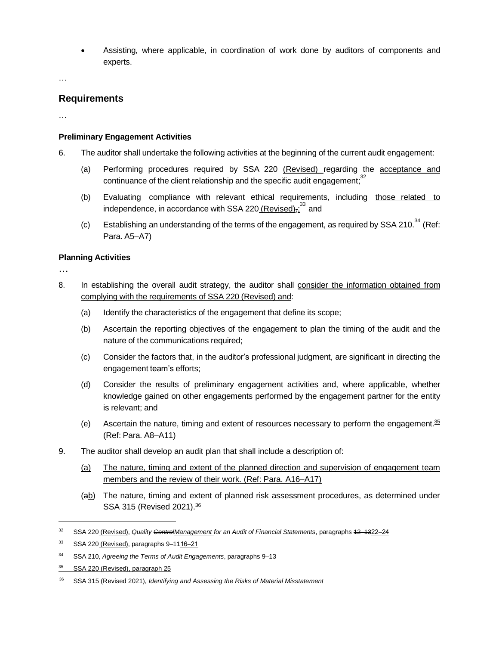• Assisting, where applicable, in coordination of work done by auditors of components and experts.

…

#### **Requirements**

…

#### **Preliminary Engagement Activities**

- 6. The auditor shall undertake the following activities at the beginning of the current audit engagement:
	- (a) Performing procedures required by SSA 220 (Revised) regarding the acceptance and continuance of the client relationship and the specific audit engagement;<sup>32</sup>
	- (b) Evaluating compliance with relevant ethical requirements, including those related to independence, in accordance with SSA 220<u> (Revised)<del>,</del>:</u> <sup>33</sup> and
	- (c) Establishing an understanding of the terms of the engagement, as required by SSA 210.<sup>34</sup> (Ref: Para. A5–A7)

#### **Planning Activities**

- 8. In establishing the overall audit strategy, the auditor shall consider the information obtained from complying with the requirements of SSA 220 (Revised) and:
	- (a) Identify the characteristics of the engagement that define its scope;
	- (b) Ascertain the reporting objectives of the engagement to plan the timing of the audit and the nature of the communications required;
	- (c) Consider the factors that, in the auditor's professional judgment, are significant in directing the engagement team's efforts;
	- (d) Consider the results of preliminary engagement activities and, where applicable, whether knowledge gained on other engagements performed by the engagement partner for the entity is relevant; and
	- (e) Ascertain the nature, timing and extent of resources necessary to perform the engagement. $35$ (Ref: Para. A8–A11)
- 9. The auditor shall develop an audit plan that shall include a description of:
	- (a) The nature, timing and extent of the planned direction and supervision of engagement team members and the review of their work. (Ref: Para. A16-A17)
	- (ab) The nature, timing and extent of planned risk assessment procedures, as determined under SSA 315 (Revised 2021).<sup>36</sup>

<sup>32</sup> SSA 220 (Revised), *Quality ControlManagement for an Audit of Financial Statements*, paragraphs 12–1322‒24

<sup>33</sup> SSA 220 (Revised), paragraphs 9-1116-21

<sup>34</sup> SSA 210, *Agreeing the Terms of Audit Engagements*, paragraphs 9–13

<sup>&</sup>lt;sup>35</sup> SSA 220 (Revised), paragraph 25

<sup>36</sup> SSA 315 (Revised 2021), *Identifying and Assessing the Risks of Material Misstatement*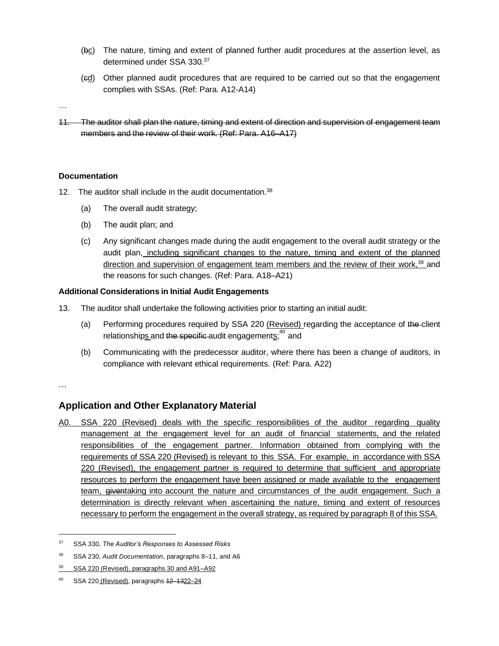- (bc) The nature, timing and extent of planned further audit procedures at the assertion level, as determined under SSA 330.<sup>37</sup>
- (cd) Other planned audit procedures that are required to be carried out so that the engagement complies with SSAs. (Ref: Para. A12-A14)
- …
- 11. The auditor shall plan the nature, timing and extent of direction and supervision of engagement team members and the review of their work. (Ref: Para. A16–A17)

#### **Documentation**

- 12. The auditor shall include in the audit documentation.<sup>38</sup>
	- (a) The overall audit strategy;
	- (b) The audit plan; and
	- (c) Any significant changes made during the audit engagement to the overall audit strategy or the audit plan, including significant changes to the nature, timing and extent of the planned direction and supervision of engagement team members and the review of their work,<sup>39</sup> and the reasons for such changes. (Ref: Para. A18–A21)

#### **Additional Considerations in Initial Audit Engagements**

- 13. The auditor shall undertake the following activities prior to starting an initial audit:
	- (a) Performing procedures required by SSA 220 (Revised) regarding the acceptance of the client relationship<u>s and t<del>he specific </del>audit engagements</u>;<sup>40</sup> and
	- (b) Communicating with the predecessor auditor, where there has been a change of auditors, in compliance with relevant ethical requirements. (Ref: Para. A22)

…

#### **Application and Other Explanatory Material**

A0. SSA 220 (Revised) deals with the specific responsibilities of the auditor regarding quality management at the engagement level for an audit of financial statements, and the related responsibilities of the engagement partner. Information obtained from complying with the requirements of SSA 220 (Revised) is relevant to this SSA. For example, in accordance with SSA 220 (Revised), the engagement partner is required to determine that sufficient and appropriate resources to perform the engagement have been assigned or made available to the engagement team, giventaking into account the nature and circumstances of the audit engagement. Such a determination is directly relevant when ascertaining the nature, timing and extent of resources necessary to perform the engagement in the overall strategy, as required by paragraph 8 of this SSA.

<sup>37</sup> SSA 330, *The Auditor's Responses to Assessed Risks*

<sup>38</sup> SSA 230, *Audit Documentation*, paragraphs 8–11, and A6

<sup>39</sup> SSA 220 (Revised), paragraphs 30 and A91–A92

SSA 220 (Revised), paragraphs 12-1322-24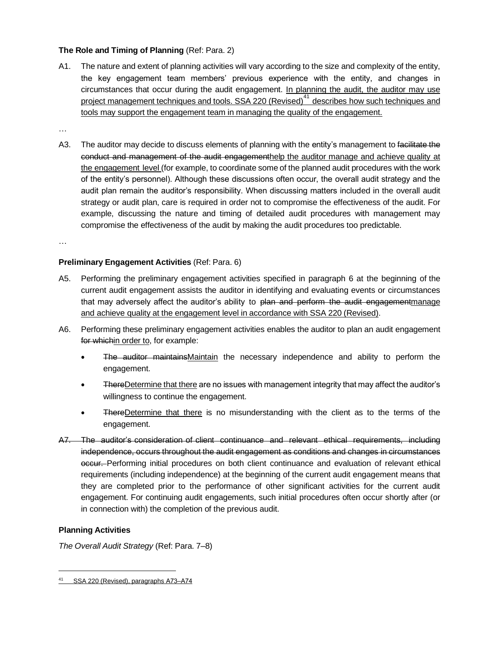#### **The Role and Timing of Planning** (Ref: Para. 2)

A1. The nature and extent of planning activities will vary according to the size and complexity of the entity, the key engagement team members' previous experience with the entity, and changes in circumstances that occur during the audit engagement. In planning the audit, the auditor may use project management techniques and tools. SSA 220 (Revised)<sup>41</sup> describes how such techniques and tools may support the engagement team in managing the quality of the engagement.

…

A3. The auditor may decide to discuss elements of planning with the entity's management to facilitate the conduct and management of the audit engagementhelp the auditor manage and achieve quality at the engagement level (for example, to coordinate some of the planned audit procedures with the work of the entity's personnel). Although these discussions often occur, the overall audit strategy and the audit plan remain the auditor's responsibility. When discussing matters included in the overall audit strategy or audit plan, care is required in order not to compromise the effectiveness of the audit. For example, discussing the nature and timing of detailed audit procedures with management may compromise the effectiveness of the audit by making the audit procedures too predictable.

…

#### **Preliminary Engagement Activities** (Ref: Para. 6)

- A5. Performing the preliminary engagement activities specified in paragraph 6 at the beginning of the current audit engagement assists the auditor in identifying and evaluating events or circumstances that may adversely affect the auditor's ability to plan and perform the audit engagementmanage and achieve quality at the engagement level in accordance with SSA 220 (Revised).
- A6. Performing these preliminary engagement activities enables the auditor to plan an audit engagement for whichin order to, for example:
	- The auditor maintainsMaintain the necessary independence and ability to perform the engagement.
	- ThereDetermine that there are no issues with management integrity that may affect the auditor's willingness to continue the engagement.
	- ThereDetermine that there is no misunderstanding with the client as to the terms of the engagement.
- A7. The auditor's consideration of client continuance and relevant ethical requirements, including independence, occurs throughout the audit engagement as conditions and changes in circumstances occur. Performing initial procedures on both client continuance and evaluation of relevant ethical requirements (including independence) at the beginning of the current audit engagement means that they are completed prior to the performance of other significant activities for the current audit engagement. For continuing audit engagements, such initial procedures often occur shortly after (or in connection with) the completion of the previous audit.

#### **Planning Activities**

*The Overall Audit Strategy* (Ref: Para. 7–8)

<sup>&</sup>lt;sup>41</sup> SSA 220 (Revised), paragraphs A73-A74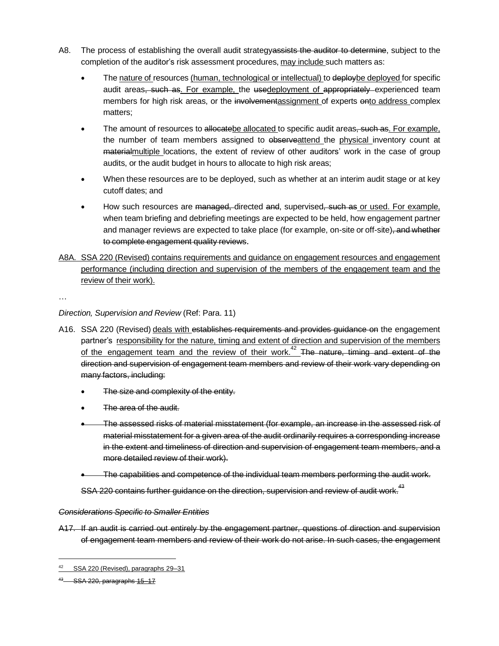- A8. The process of establishing the overall audit strategyassists the auditor to determine, subject to the completion of the auditor's risk assessment procedures, may include such matters as:
	- The nature of resources (human, technological or intellectual) to deploybe deployed for specific audit areas, such as. For example, the usedeployment of appropriately experienced team members for high risk areas, or the involvementassignment of experts ento address complex matters;
	- The amount of resources to allocatebe allocated to specific audit areas, such as. For example, the number of team members assigned to observeattend the physical inventory count at materialmultiple locations, the extent of review of other auditors' work in the case of group audits, or the audit budget in hours to allocate to high risk areas;
	- When these resources are to be deployed, such as whether at an interim audit stage or at key cutoff dates; and
	- How such resources are managed, directed and, supervised, such as or used. For example, when team briefing and debriefing meetings are expected to be held, how engagement partner and manager reviews are expected to take place (for example, on-site or off-site), and whether to complete engagement quality reviews.
- A8A. SSA 220 (Revised) contains requirements and guidance on engagement resources and engagement performance (including direction and supervision of the members of the engagement team and the review of their work).

…

#### *Direction, Supervision and Review* (Ref: Para. 11)

- A16. SSA 220 (Revised) deals with establishes requirements and provides guidance on the engagement partner's responsibility for the nature, timing and extent of direction and supervision of the members of the engagement team and the review of their work.<sup>42</sup> The nature, timing and extent of the direction and supervision of engagement team members and review of their work vary depending on many factors, including:
	- The size and complexity of the entity.
	- The area of the audit.
	- The assessed risks of material misstatement (for example, an increase in the assessed risk of material misstatement for a given area of the audit ordinarily requires a corresponding increase in the extent and timeliness of direction and supervision of engagement team members, and a more detailed review of their work).
	- The capabilities and competence of the individual team members performing the audit work.

SSA 220 contains further guidance on the direction, supervision and review of audit work.<sup>43</sup>

#### *Considerations Specific to Smaller Entities*

A17. If an audit is carried out entirely by the engagement partner, questions of direction and supervision of engagement team members and review of their work do not arise. In such cases, the engagement

<sup>42</sup> SSA 220 (Revised), paragraphs 29–31

<sup>43</sup> SSA 220, paragraphs 15-17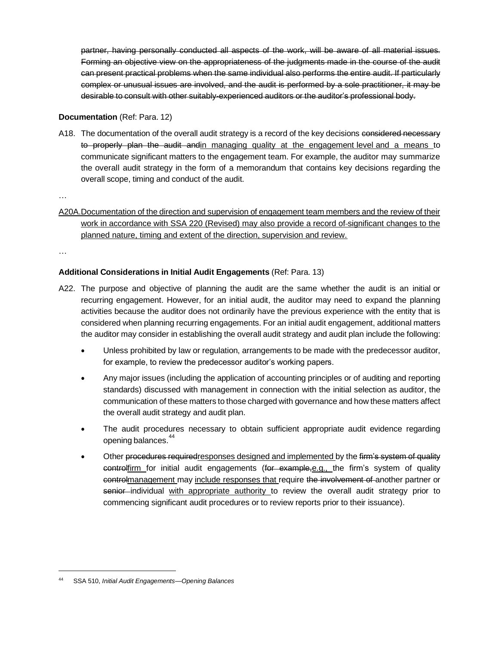partner, having personally conducted all aspects of the work, will be aware of all material issues. Forming an objective view on the appropriateness of the judgments made in the course of the audit can present practical problems when the same individual also performs the entire audit. If particularly complex or unusual issues are involved, and the audit is performed by a sole practitioner, it may be desirable to consult with other suitably-experienced auditors or the auditor's professional body.

#### **Documentation** (Ref: Para. 12)

A18. The documentation of the overall audit strategy is a record of the key decisions considered necessary to properly plan the audit and in managing quality at the engagement level and a means to communicate significant matters to the engagement team. For example, the auditor may summarize the overall audit strategy in the form of a memorandum that contains key decisions regarding the overall scope, timing and conduct of the audit.

…

A20A.Documentation of the direction and supervision of engagement team members and the review of their work in accordance with SSA 220 (Revised) may also provide a record of significant changes to the planned nature, timing and extent of the direction, supervision and review.

…

#### **Additional Considerations in Initial Audit Engagements** (Ref: Para. 13)

- A22. The purpose and objective of planning the audit are the same whether the audit is an initial or recurring engagement. However, for an initial audit, the auditor may need to expand the planning activities because the auditor does not ordinarily have the previous experience with the entity that is considered when planning recurring engagements. For an initial audit engagement, additional matters the auditor may consider in establishing the overall audit strategy and audit plan include the following:
	- Unless prohibited by law or regulation, arrangements to be made with the predecessor auditor, for example, to review the predecessor auditor's working papers.
	- Any major issues (including the application of accounting principles or of auditing and reporting standards) discussed with management in connection with the initial selection as auditor, the communication of these matters to those charged with governance and how these matters affect the overall audit strategy and audit plan.
	- The audit procedures necessary to obtain sufficient appropriate audit evidence regarding opening balances.<sup>44</sup>
	- Other procedures required responses designed and implemented by the firm's system of quality controlfirm for initial audit engagements (for example,e.g., the firm's system of quality controlmanagement may include responses that require the involvement of another partner or senior individual with appropriate authority to review the overall audit strategy prior to commencing significant audit procedures or to review reports prior to their issuance).

<sup>44</sup> SSA 510, *Initial Audit Engagements—Opening Balances*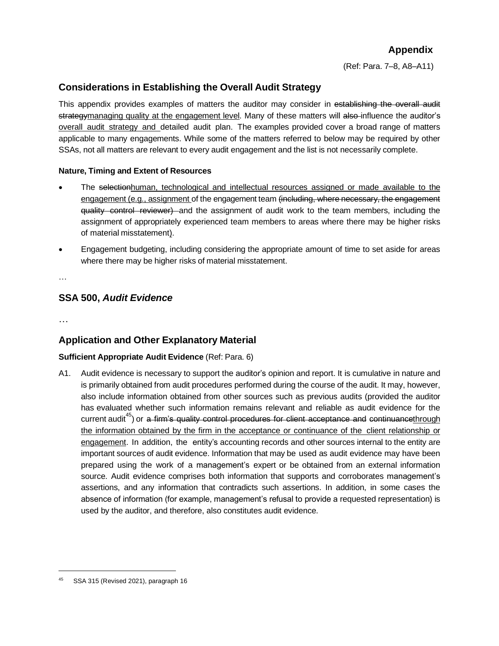## **Appendix**

(Ref: Para. 7–8, A8–A11)

## **Considerations in Establishing the Overall Audit Strategy**

This appendix provides examples of matters the auditor may consider in establishing the overall audit strategymanaging quality at the engagement level. Many of these matters will also influence the auditor's overall audit strategy and detailed audit plan. The examples provided cover a broad range of matters applicable to many engagements. While some of the matters referred to below may be required by other SSAs, not all matters are relevant to every audit engagement and the list is not necessarily complete.

#### **Nature, Timing and Extent of Resources**

- The selectionhuman, technological and intellectual resources assigned or made available to the engagement (e.g., assignment of the engagement team (including, where necessary, the engagement quality control reviewer) and the assignment of audit work to the team members, including the assignment of appropriately experienced team members to areas where there may be higher risks of material misstatement).
- Engagement budgeting, including considering the appropriate amount of time to set aside for areas where there may be higher risks of material misstatement.

…

## **SSA 500,** *Audit Evidence*

…

## **Application and Other Explanatory Material**

#### **Sufficient Appropriate Audit Evidence** (Ref: Para. 6)

A1. Audit evidence is necessary to support the auditor's opinion and report. It is cumulative in nature and is primarily obtained from audit procedures performed during the course of the audit. It may, however, also include information obtained from other sources such as previous audits (provided the auditor has evaluated whether such information remains relevant and reliable as audit evidence for the current audit<sup>45</sup>) or a firm's quality control procedures for client acceptance and continuancethrough the information obtained by the firm in the acceptance or continuance of the client relationship or engagement. In addition, the entity's accounting records and other sources internal to the entity are important sources of audit evidence. Information that may be used as audit evidence may have been prepared using the work of a management's expert or be obtained from an external information source. Audit evidence comprises both information that supports and corroborates management's assertions, and any information that contradicts such assertions. In addition, in some cases the absence of information (for example, management's refusal to provide a requested representation) is used by the auditor, and therefore, also constitutes audit evidence.

SSA 315 (Revised 2021), paragraph 16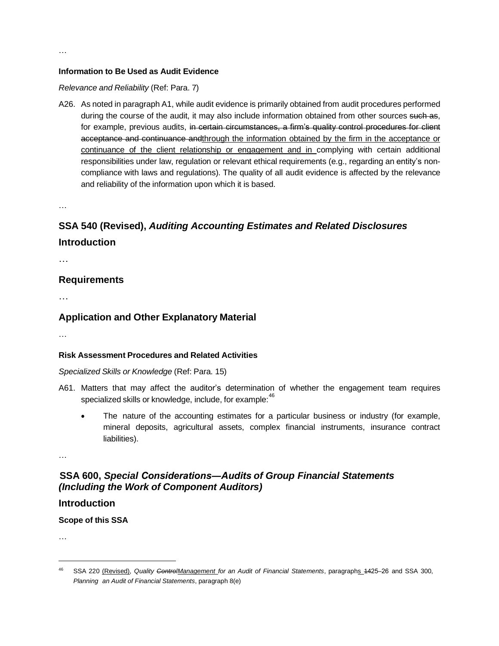#### **Information to Be Used as Audit Evidence**

#### *Relevance and Reliability* (Ref: Para. 7)

A26. As noted in paragraph A1, while audit evidence is primarily obtained from audit procedures performed during the course of the audit, it may also include information obtained from other sources such as, for example, previous audits, in certain circumstances, a firm's quality control procedures for client acceptance and continuance andthrough the information obtained by the firm in the acceptance or continuance of the client relationship or engagement and in complying with certain additional responsibilities under law, regulation or relevant ethical requirements (e.g., regarding an entity's noncompliance with laws and regulations). The quality of all audit evidence is affected by the relevance and reliability of the information upon which it is based.

…

# **SSA 540 (Revised),** *Auditing Accounting Estimates and Related Disclosures* **Introduction**

…

#### **Requirements**

…

#### **Application and Other Explanatory Material**

…

#### **Risk Assessment Procedures and Related Activities**

#### *Specialized Skills or Knowledge* (Ref: Para. 15)

- A61. Matters that may affect the auditor's determination of whether the engagement team requires specialized skills or knowledge, include, for example:<sup>46</sup>
	- The nature of the accounting estimates for a particular business or industry (for example, mineral deposits, agricultural assets, complex financial instruments, insurance contract liabilities).

…

## **SSA 600,** *Special Considerations―Audits of Group Financial Statements (Including the Work of Component Auditors)*

#### **Introduction**

**Scope of this SSA**

<sup>46</sup> SSA 220 (Revised), *Quality ControlManagement for an Audit of Financial Statements*, paragraphs 1425‒26 and SSA 300, *Planning an Audit of Financial Statements*, paragraph 8(e)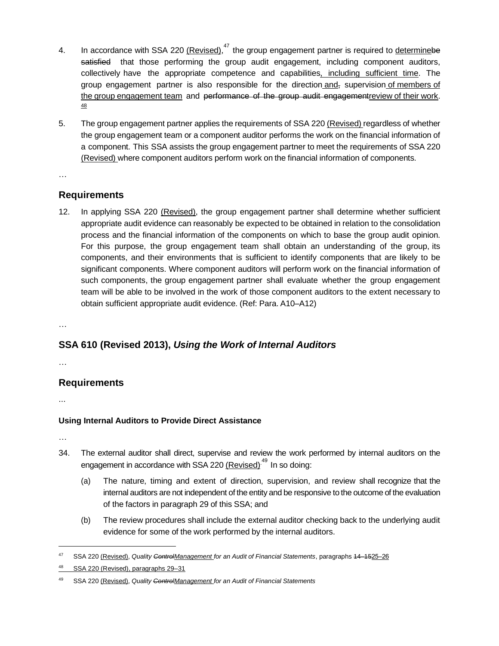- 4. In accordance with SSA 220 (Revised),<sup>47</sup> the group engagement partner is required to determinebe satisfied that those performing the group audit engagement, including component auditors, collectively have the appropriate competence and capabilities, including sufficient time. The group engagement partner is also responsible for the direction and, supervision of members of the group engagement team and performance of the group audit engagementreview of their work. 48
- 5. The group engagement partner applies the requirements of SSA 220 (Revised) regardless of whether the group engagement team or a component auditor performs the work on the financial information of a component. This SSA assists the group engagement partner to meet the requirements of SSA 220 (Revised) where component auditors perform work on the financial information of components.
- …

## **Requirements**

12. In applying SSA 220 (Revised), the group engagement partner shall determine whether sufficient appropriate audit evidence can reasonably be expected to be obtained in relation to the consolidation process and the financial information of the components on which to base the group audit opinion. For this purpose, the group engagement team shall obtain an understanding of the group, its components, and their environments that is sufficient to identify components that are likely to be significant components. Where component auditors will perform work on the financial information of such components, the group engagement partner shall evaluate whether the group engagement team will be able to be involved in the work of those component auditors to the extent necessary to obtain sufficient appropriate audit evidence. (Ref: Para. A10–A12)

…

## **SSA 610 (Revised 2013),** *Using the Work of Internal Auditors*

…

## **Requirements**

...

## **Using Internal Auditors to Provide Direct Assistance**

- 34. The external auditor shall direct, supervise and review the work performed by internal auditors on the engagement in accordance with SSA 220 <u>(Revised)<sup>.49</sup></u> In so doing:
	- (a) The nature, timing and extent of direction, supervision, and review shall recognize that the internal auditors are not independent of the entity and be responsive to the outcome of the evaluation of the factors in paragraph 29 of this SSA; and
	- (b) The review procedures shall include the external auditor checking back to the underlying audit evidence for some of the work performed by the internal auditors.

<sup>47</sup> SSA 220 (Revised), *Quality ControlManagement for an Audit of Financial Statements*, paragraphs 14–1525‒26

<sup>48</sup> SSA 220 (Revised), paragraphs 29–31

<sup>49</sup> SSA 220 (Revised), *Quality ControlManagement for an Audit of Financial Statements*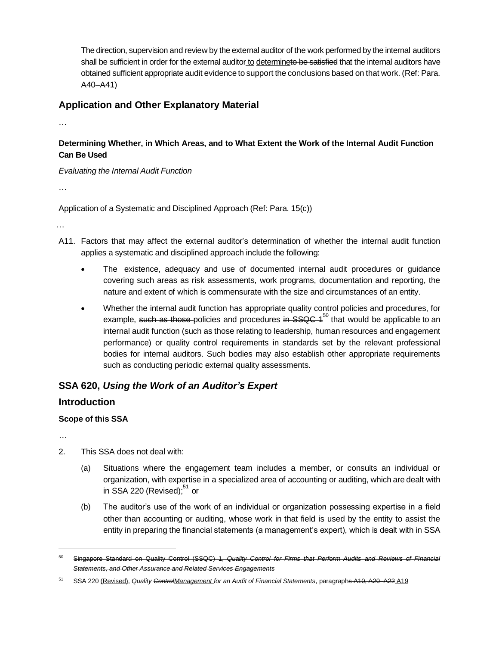The direction, supervision and review by the external auditor of the work performed by the internal auditors shall be sufficient in order for the external auditor to determineto be satisfied that the internal auditors have obtained sufficient appropriate audit evidence to support the conclusions based on that work. (Ref: Para. A40–A41)

### **Application and Other Explanatory Material**

…

### **Determining Whether, in Which Areas, and to What Extent the Work of the Internal Audit Function Can Be Used**

*Evaluating the Internal Audit Function*

…

Application of a Systematic and Disciplined Approach (Ref: Para. 15(c))

…

- A11. Factors that may affect the external auditor's determination of whether the internal audit function applies a systematic and disciplined approach include the following:
	- The existence, adequacy and use of documented internal audit procedures or guidance covering such areas as risk assessments, work programs, documentation and reporting, the nature and extent of which is commensurate with the size and circumstances of an entity.
	- Whether the internal audit function has appropriate quality control policies and procedures, for example, <del>such as those </del>policies and procedures in SSQC 1<sup>50</sup> that would be applicable to an internal audit function (such as those relating to leadership, human resources and engagement performance) or quality control requirements in standards set by the relevant professional bodies for internal auditors. Such bodies may also establish other appropriate requirements such as conducting periodic external quality assessments.

## **SSA 620,** *Using the Work of an Auditor's Expert*

#### **Introduction**

#### **Scope of this SSA**

- 2. This SSA does not deal with:
	- (a) Situations where the engagement team includes a member, or consults an individual or organization, with expertise in a specialized area of accounting or auditing, which are dealt with in SSA 220 <u>(Revised);</u><sup>51</sup> or
	- (b) The auditor's use of the work of an individual or organization possessing expertise in a field other than accounting or auditing, whose work in that field is used by the entity to assist the entity in preparing the financial statements (a management's expert), which is dealt with in SSA

<sup>50</sup> Singapore Standard on Quality Control (SSQC) 1, *Quality Control for Firms that Perform Audits and Reviews of Financial Statements, and Other Assurance and Related Services Engagements*

<sup>51</sup> SSA 220 (Revised), *Quality ControlManagement for an Audit of Financial Statements*, paragraphs A10, A20–A22 A19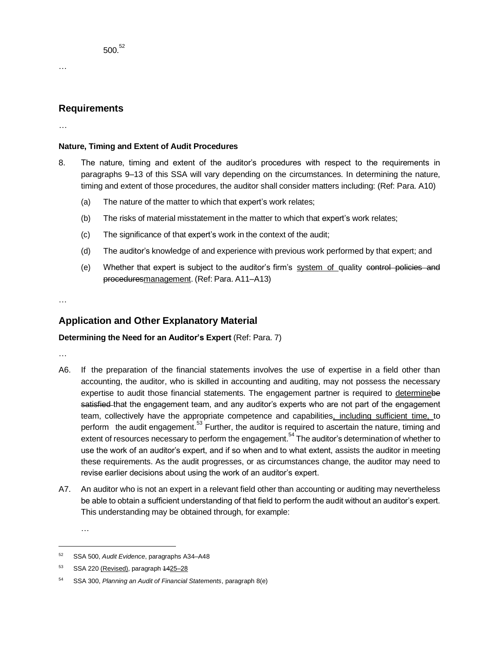#### **Requirements**

…

…

#### **Nature, Timing and Extent of Audit Procedures**

- 8. The nature, timing and extent of the auditor's procedures with respect to the requirements in paragraphs 9–13 of this SSA will vary depending on the circumstances. In determining the nature, timing and extent of those procedures, the auditor shall consider matters including: (Ref: Para. A10)
	- (a) The nature of the matter to which that expert's work relates;
	- (b) The risks of material misstatement in the matter to which that expert's work relates;
	- (c) The significance of that expert's work in the context of the audit;
	- (d) The auditor's knowledge of and experience with previous work performed by that expert; and
	- (e) Whether that expert is subject to the auditor's firm's system of quality control policies and proceduresmanagement. (Ref: Para. A11–A13)

…

## **Application and Other Explanatory Material**

#### **Determining the Need for an Auditor's Expert** (Ref: Para. 7)

…

- A6. If the preparation of the financial statements involves the use of expertise in a field other than accounting, the auditor, who is skilled in accounting and auditing, may not possess the necessary expertise to audit those financial statements. The engagement partner is required to determinebe satisfied that the engagement team, and any auditor's experts who are not part of the engagement team, collectively have the appropriate competence and capabilities, including sufficient time, to perform the audit engagement.  $53$  Further, the auditor is required to ascertain the nature, timing and extent of resources necessary to perform the engagement.<sup>54</sup> The auditor's determination of whether to use the work of an auditor's expert, and if so when and to what extent, assists the auditor in meeting these requirements. As the audit progresses, or as circumstances change, the auditor may need to revise earlier decisions about using the work of an auditor's expert.
- A7. An auditor who is not an expert in a relevant field other than accounting or auditing may nevertheless be able to obtain a sufficient understanding of that field to perform the audit without an auditor's expert. This understanding may be obtained through, for example:

<sup>52</sup> SSA 500, *Audit Evidence*, paragraphs A34–A48

<sup>53</sup> SSA 220 (Revised), paragraph 4425-28

<sup>54</sup> SSA 300, *Planning an Audit of Financial Statements*, paragraph 8(e)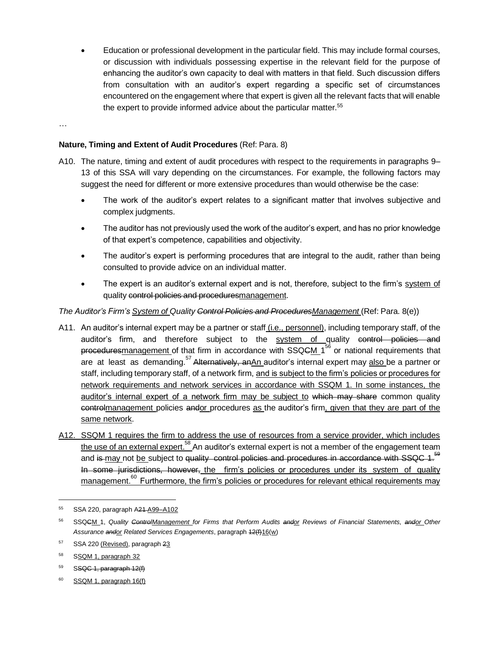• Education or professional development in the particular field. This may include formal courses, or discussion with individuals possessing expertise in the relevant field for the purpose of enhancing the auditor's own capacity to deal with matters in that field. Such discussion differs from consultation with an auditor's expert regarding a specific set of circumstances encountered on the engagement where that expert is given all the relevant facts that will enable the expert to provide informed advice about the particular matter.<sup>55</sup>

#### …

#### **Nature, Timing and Extent of Audit Procedures** (Ref: Para. 8)

- A10. The nature, timing and extent of audit procedures with respect to the requirements in paragraphs 9– 13 of this SSA will vary depending on the circumstances. For example, the following factors may suggest the need for different or more extensive procedures than would otherwise be the case:
	- The work of the auditor's expert relates to a significant matter that involves subjective and complex judgments.
	- The auditor has not previously used the work of the auditor's expert, and has no prior knowledge of that expert's competence, capabilities and objectivity.
	- The auditor's expert is performing procedures that are integral to the audit, rather than being consulted to provide advice on an individual matter.
	- The expert is an auditor's external expert and is not, therefore, subject to the firm's system of quality control policies and proceduresmanagement.

#### *The Auditor's Firm's System of Quality Control Policies and ProceduresManagement* (Ref: Para. 8(e))

- A11. An auditor's internal expert may be a partner or staff (i.e., personnel), including temporary staff, of the auditor's firm, and therefore subject to the system of quality control policies and proceduresmanagement of that firm in accordance with SSQ<del>C</del>M 1<sup>56</sup> or national requirements that are at least as demanding.<sup>57</sup> Alternatively, anAn auditor's internal expert may also be a partner or staff, including temporary staff, of a network firm, and is subject to the firm's policies or procedures for network requirements and network services in accordance with SSQM 1. In some instances, the auditor's internal expert of a network firm may be subject to which may share common quality controlmanagement policies andor procedures as the auditor's firm, given that they are part of the same network.
- A12. SSQM 1 requires the firm to address the use of resources from a service provider, which includes the use of an external expert. <sup>58</sup> An auditor's external expert is not a member of the engagement team and is may not be subject to quality control policies and procedures in accordance with SSQC 1.<sup>59</sup> In some jurisdictions, however, the firm's policies or procedures under its system of quality management.<sup>60</sup> Furthermore, the firm's policies or procedures for relevant ethical requirements may

 $60$  SSQM 1, paragraph 16(f)

<sup>55</sup> SSA 220, paragraph A21 A99–A102

<sup>56</sup> SSQCM 1, *Quality ControlManagement for Firms that Perform Audits andor Reviews of Financial Statements, andor Other Assurance andor Related Services Engagements*, paragraph 12(f)16(w)

<sup>57</sup> SSA 220 (Revised), paragraph 23

<sup>58</sup> SSQM 1, paragraph 32

 $59$  SSQC 1, paragraph 12(f)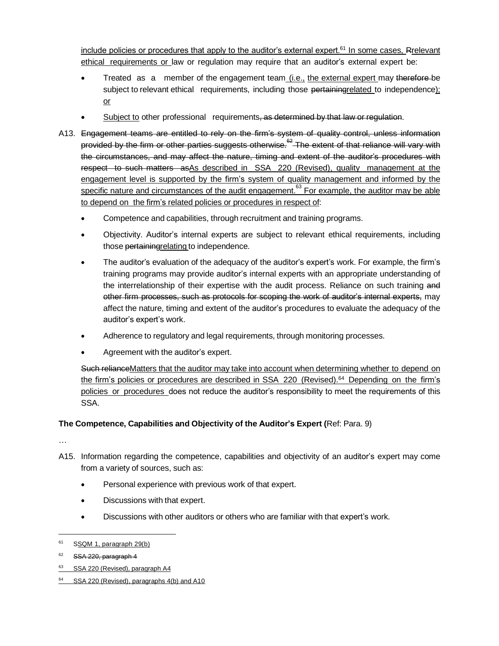include policies or procedures that apply to the auditor's external expert.<sup>61</sup> In some cases, Rrelevant ethical requirements or law or regulation may require that an auditor's external expert be:

- Treated as a member of the engagement team (i.e., the external expert may therefore-be subject to relevant ethical requirements, including those pertaining related to independence); or
- Subject to other professional requirements, as determined by that law or requlation.
- A13. Engagement teams are entitled to rely on the firm's system of quality control, unless information provided by the firm or other parties suggests otherwise. $62$  The extent of that reliance will vary with the circumstances, and may affect the nature, timing and extent of the auditor's procedures with respect to such matters asAs described in SSA 220 (Revised), quality management at the engagement level is supported by the firm's system of quality management and informed by the specific nature and circumstances of the audit engagement. $63$  For example, the auditor may be able to depend on the firm's related policies or procedures in respect of:
	- Competence and capabilities, through recruitment and training programs.
	- Objectivity. Auditor's internal experts are subject to relevant ethical requirements, including those pertainingrelating to independence.
	- The auditor's evaluation of the adequacy of the auditor's expert's work. For example, the firm's training programs may provide auditor's internal experts with an appropriate understanding of the interrelationship of their expertise with the audit process. Reliance on such training and other firm processes, such as protocols for scoping the work of auditor's internal experts, may affect the nature, timing and extent of the auditor's procedures to evaluate the adequacy of the auditor's expert's work.
	- Adherence to regulatory and legal requirements, through monitoring processes.
	- Agreement with the auditor's expert.

Such reliance Matters that the auditor may take into account when determining whether to depend on the firm's policies or procedures are described in SSA 220 (Revised).<sup>64</sup> Depending on the firm's policies or procedures does not reduce the auditor's responsibility to meet the requirements of this SSA.

#### **The Competence, Capabilities and Objectivity of the Auditor's Expert (**Ref: Para. 9)

- A15. Information regarding the competence, capabilities and objectivity of an auditor's expert may come from a variety of sources, such as:
	- Personal experience with previous work of that expert.
	- Discussions with that expert.
	- Discussions with other auditors or others who are familiar with that expert's work.

<sup>61</sup> SSQM 1, paragraph 29(b)

 $62$  SSA 220, paragraph 4

<sup>63</sup> SSA 220 (Revised), paragraph A4

 $64$  SSA 220 (Revised), paragraphs 4(b) and A10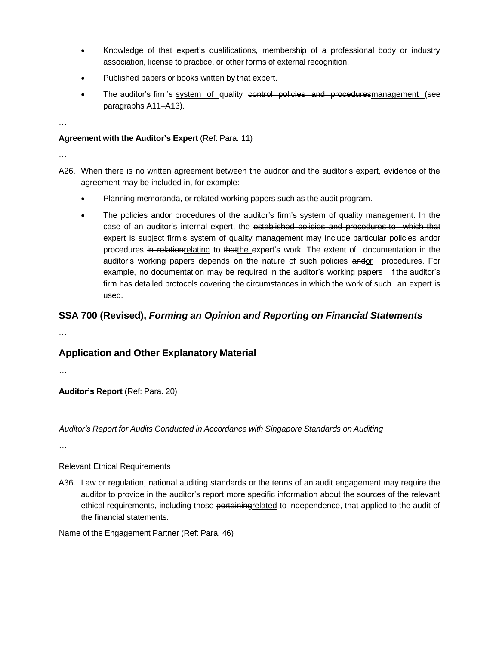- Knowledge of that expert's qualifications, membership of a professional body or industry association, license to practice, or other forms of external recognition.
- Published papers or books written by that expert.
- The auditor's firm's system of quality control policies and proceduresmanagement (see paragraphs A11–A13).

**Agreement with the Auditor's Expert** (Ref: Para. 11)

…

…

- A26. When there is no written agreement between the auditor and the auditor's expert, evidence of the agreement may be included in, for example:
	- Planning memoranda, or related working papers such as the audit program.
	- The policies andor procedures of the auditor's firm's system of quality management. In the case of an auditor's internal expert, the established policies and procedures to which that expert is subject firm's system of quality management may include particular policies andor procedures in relationrelating to thatthe expert's work. The extent of documentation in the auditor's working papers depends on the nature of such policies andor procedures. For example, no documentation may be required in the auditor's working papers if the auditor's firm has detailed protocols covering the circumstances in which the work of such an expert is used.

## **SSA 700 (Revised),** *Forming an Opinion and Reporting on Financial Statements*

…

## **Application and Other Explanatory Material**

…

**Auditor's Report** (Ref: Para. 20)

…

*Auditor's Report for Audits Conducted in Accordance with Singapore Standards on Auditing*

…

Relevant Ethical Requirements

A36. Law or regulation, national auditing standards or the terms of an audit engagement may require the auditor to provide in the auditor's report more specific information about the sources of the relevant ethical requirements, including those pertaining related to independence, that applied to the audit of the financial statements.

Name of the Engagement Partner (Ref: Para. 46)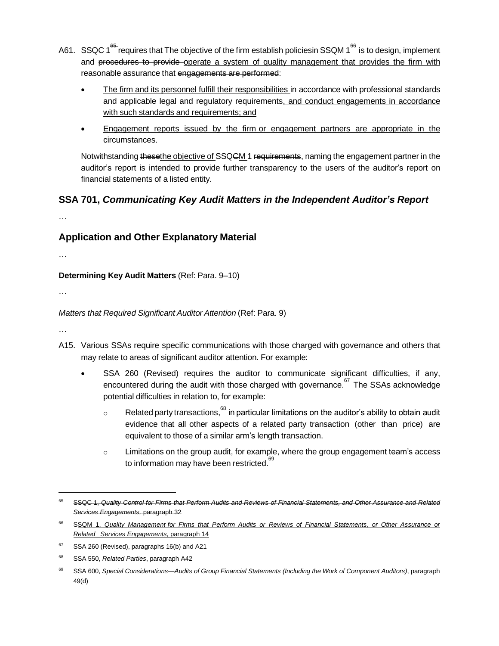- A61. S<del>SQC 1<sup>65</sup> requires that</del> <u>The objective of t</u>he firm <del>establish policies</del>in SSQM 1<sup>66</sup> is to design, implement and procedures to provide operate a system of quality management that provides the firm with reasonable assurance that engagements are performed:
	- The firm and its personnel fulfill their responsibilities in accordance with professional standards and applicable legal and regulatory requirements, and conduct engagements in accordance with such standards and requirements; and
	- Engagement reports issued by the firm or engagement partners are appropriate in the circumstances.

Notwithstanding thesethe objective of SSQCM 1 requirements, naming the engagement partner in the auditor's report is intended to provide further transparency to the users of the auditor's report on financial statements of a listed entity.

## **SSA 701,** *Communicating Key Audit Matters in the Independent Auditor's Report*

…

## **Application and Other Explanatory Material**

…

**Determining Key Audit Matters** (Ref: Para. 9–10)

…

#### *Matters that Required Significant Auditor Attention* (Ref: Para. 9)

- A15. Various SSAs require specific communications with those charged with governance and others that may relate to areas of significant auditor attention. For example:
	- SSA 260 (Revised) requires the auditor to communicate significant difficulties, if any, encountered during the audit with those charged with governance.<sup>67</sup> The SSAs acknowledge potential difficulties in relation to, for example:
		- $\circ$  Related party transactions,  $^{68}$  in particular limitations on the auditor's ability to obtain audit evidence that all other aspects of a related party transaction (other than price) are equivalent to those of a similar arm's length transaction.
		- o Limitations on the group audit, for example, where the group engagement team's access to information may have been restricted.<sup>69</sup>

<sup>&</sup>lt;sup>65</sup> SSQC 1, Quality Control for Firms that Perform Audits and Reviews of Financial Statements, and Other Assurance and Related *Services Engagements,* paragraph 32

<sup>66</sup> SSQM 1, *Quality Management for Firms that Perform Audits or Reviews of Financial Statements, or Other Assurance or Related Services Engagements,* paragraph 14

 $67$  SSA 260 (Revised), paragraphs 16(b) and A21

<sup>68</sup> SSA 550, *Related Parties*, paragraph A42

<sup>69</sup> SSA 600, *Special Considerations—Audits of Group Financial Statements (Including the Work of Component Auditors)*, paragraph 49(d)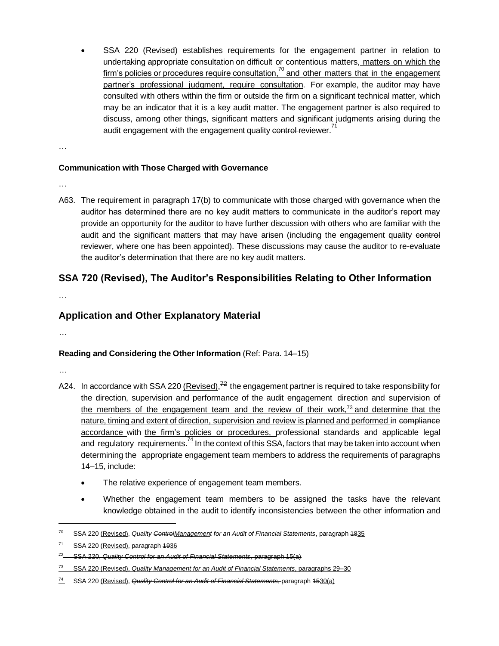SSA 220 (Revised) establishes requirements for the engagement partner in relation to undertaking appropriate consultation on difficult or contentious matters, matters on which the firm's policies or procedures require consultation,<sup>70</sup> and other matters that in the engagement partner's professional judgment, require consultation. For example, the auditor may have consulted with others within the firm or outside the firm on a significant technical matter, which may be an indicator that it is a key audit matter. The engagement partner is also required to discuss, among other things, significant matters and significant judgments arising during the audit engagement with the engagement quality control reviewer.<sup>71</sup>

…

#### **Communication with Those Charged with Governance**

…

A63. The requirement in paragraph 17(b) to communicate with those charged with governance when the auditor has determined there are no key audit matters to communicate in the auditor's report may provide an opportunity for the auditor to have further discussion with others who are familiar with the audit and the significant matters that may have arisen (including the engagement quality control reviewer, where one has been appointed). These discussions may cause the auditor to re-evaluate the auditor's determination that there are no key audit matters.

## **SSA 720 (Revised), The Auditor's Responsibilities Relating to Other Information**

…

## **Application and Other Explanatory Material**

…

#### **Reading and Considering the Other Information** (Ref: Para. 14–15)

- A24. In accordance with SSA 220 (Revised),<sup>72</sup> the engagement partner is required to take responsibility for the direction, supervision and performance of the audit engagement direction and supervision of the members of the engagement team and the review of their work,<sup>73</sup> and determine that the nature, timing and extent of direction, supervision and review is planned and performed in compliance accordance with the firm's policies or procedures, professional standards and applicable legal and regulatory requirements. $\frac{4}{3}$  In the context of this SSA, factors that may be taken into account when determining the appropriate engagement team members to address the requirements of paragraphs 14–15, include:
	- The relative experience of engagement team members.
	- Whether the engagement team members to be assigned the tasks have the relevant knowledge obtained in the audit to identify inconsistencies between the other information and

<sup>70</sup> SSA 220 (Revised), *Quality ControlManagement for an Audit of Financial Statements*, paragraph 1835

<sup>&</sup>lt;sup>71</sup> SSA 220 (Revised), paragraph 4936

<sup>72</sup> SSA 220, *Quality Control for an Audit of Financial Statements*, paragraph 15(a)

<sup>73</sup> SSA 220 (Revised), *Quality Management for an Audit of Financial Statements*, paragraphs 29–30

<sup>74</sup> SSA 220 (Revised), *Quality Control for an Audit of Financial Statements*, paragraph 1530(a)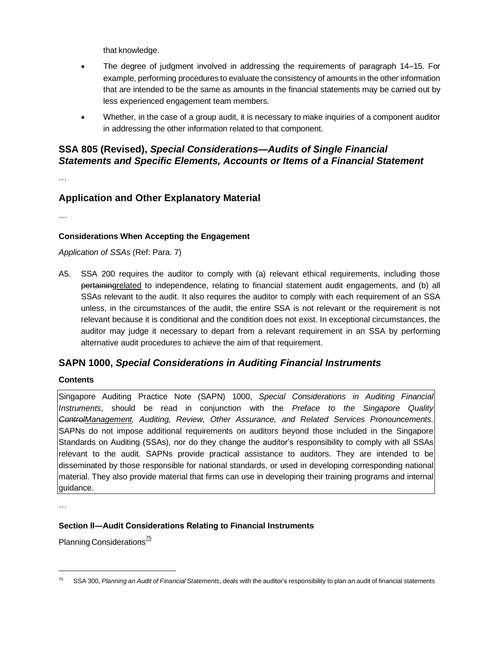that knowledge.

- The degree of judgment involved in addressing the requirements of paragraph 14–15. For example, performing procedures to evaluate the consistency of amounts in the other information that are intended to be the same as amounts in the financial statements may be carried out by less experienced engagement team members.
- Whether, in the case of a group audit, it is necessary to make inquiries of a component auditor in addressing the other information related to that component.

## **SSA 805 (Revised),** *Special Considerations—Audits of Single Financial Statements and Specific Elements, Accounts or Items of a Financial Statement*

…

## **Application and Other Explanatory Material**

…

#### **Considerations When Accepting the Engagement**

*Application of SSAs* (Ref: Para. 7)

A5. SSA 200 requires the auditor to comply with (a) relevant ethical requirements, including those pertainingrelated to independence, relating to financial statement audit engagements, and (b) all SSAs relevant to the audit. It also requires the auditor to comply with each requirement of an SSA unless, in the circumstances of the audit, the entire SSA is not relevant or the requirement is not relevant because it is conditional and the condition does not exist. In exceptional circumstances, the auditor may judge it necessary to depart from a relevant requirement in an SSA by performing alternative audit procedures to achieve the aim of that requirement.

## **SAPN 1000,** *Special Considerations in Auditing Financial Instruments*

#### **Contents**

Singapore Auditing Practice Note (SAPN) 1000, *Special Considerations in Auditing Financial Instruments*, should be read in conjunction with the *Preface to the Singapore Quality ControlManagement, Auditing, Review, Other Assurance, and Related Services Pronouncements*. SAPNs do not impose additional requirements on auditors beyond those included in the Singapore Standards on Auditing (SSAs), nor do they change the auditor's responsibility to comply with all SSAs relevant to the audit. SAPNs provide practical assistance to auditors. They are intended to be disseminated by those responsible for national standards, or used in developing corresponding national material. They also provide material that firms can use in developing their training programs and internal guidance.

…

#### **Section II―Audit Considerations Relating to Financial Instruments**

Planning Considerations $\frac{75}{5}$ 

<sup>75</sup> SSA 300, *Planning an Audit of Financial Statements*, deals with the auditor's responsibility to plan an audit of financial statements